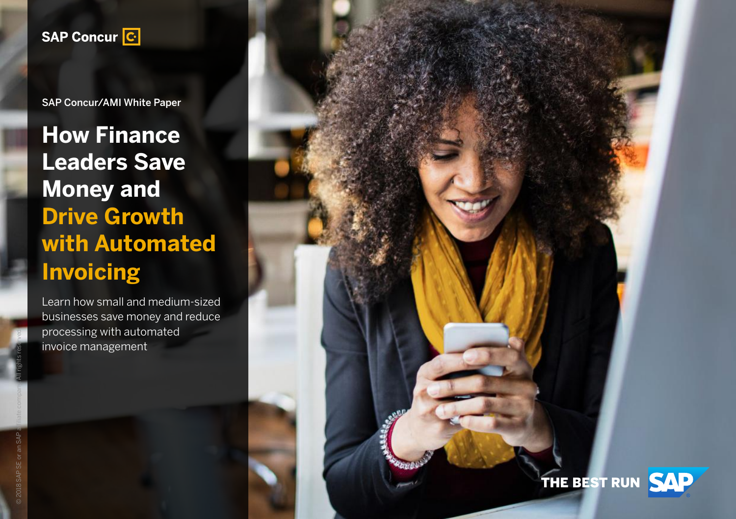

SAP Concur/AMI White Paper

**How Finance Leaders Save Money and Drive Growth with Automated Invoicing**

Learn how small and medium-sized businesses save money and reduce processing with automated invoice management

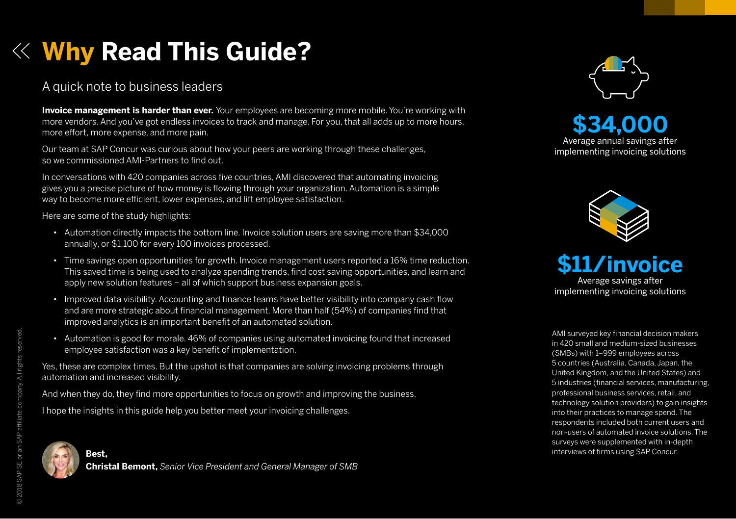# **Why Read This Guide?**

## A quick note to business leaders

**Invoice management is harder than ever.** Your employees are becoming more mobile. You're working with more vendors. And you've got endless invoices to track and manage. For you, that all adds up to more hours, more effort, more expense, and more pain.

Our team at SAP Concur was curious about how your peers are working through these challenges, so we commissioned AMI-Partners to find out.

In conversations with 420 companies across five countries, AMI discovered that automating invoicing gives you a precise picture of how money is flowing through your organization. Automation is a simple way to become more efficient, lower expenses, and lift employee satisfaction.

Here are some of the study highlights:

- Automation directly impacts the bottom line. Invoice solution users are saving more than \$34,000 annually, or \$1,100 for every 100 invoices processed.
- Time savings open opportunities for growth. Invoice management users reported a 16% time reduction. This saved time is being used to analyze spending trends, find cost saving opportunities, and learn and apply new solution features – all of which support business expansion goals.
- Improved data visibility. Accounting and finance teams have better visibility into company cash flow and are more strategic about financial management. More than half (54%) of companies find that improved analytics is an important benefit of an automated solution.
- Automation is good for morale. 46% of companies using automated invoicing found that increased employee satisfaction was a key benefit of implementation.

Yes, these are complex times. But the upshot is that companies are solving invoicing problems through automation and increased visibility.

And when they do, they find more opportunities to focus on growth and improving the business.

I hope the insights in this guide help you better meet your invoicing challenges.





**\$34,000** Average annual savings after implementing invoicing solutions





AMI surveyed key financial decision makers in 420 small and medium-sized businesses (SMBs) with 1–999 employees across 5 countries (Australia, Canada, Japan, the United Kingdom, and the United States) and 5 industries (financial services, manufacturing, professional business services, retail, and technology solution providers) to gain insights into their practices to manage spend. The respondents included both current users and non-users of automated invoice solutions. The surveys were supplemented with in-depth interviews of firms using SAP Concur.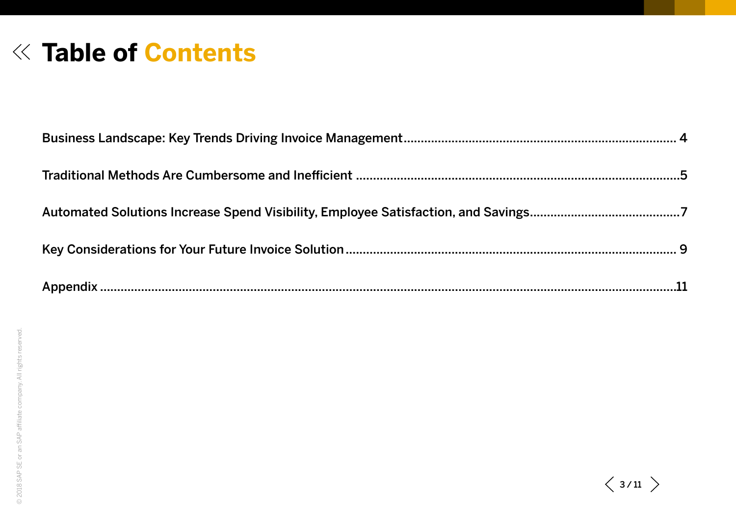# **Table of Contents**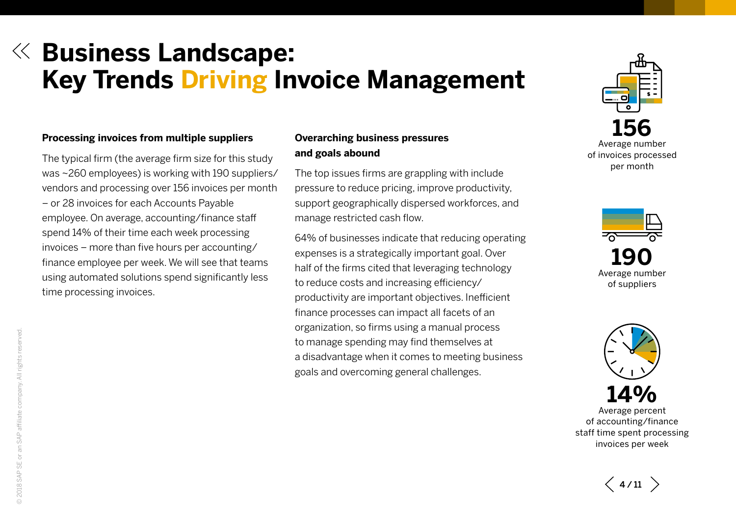# <span id="page-3-0"></span>**Business Landscape: Key Trends Driving Invoice Management**

### **Processing invoices from multiple suppliers**

The typical firm (the average firm size for this study was ~260 employees) is working with 190 suppliers/ vendors and processing over 156 invoices per month – or 28 invoices for each Accounts Payable employee. On average, accounting/finance staff spend 14% of their time each week processing invoices – more than five hours per accounting/ finance employee per week. We will see that teams using automated solutions spend significantly less time processing invoices.

## **Overarching business pressures and goals abound**

The top issues firms are grappling with include pressure to reduce pricing, improve productivity, support geographically dispersed workforces, and manage restricted cash flow.

64% of businesses indicate that reducing operating expenses is a strategically important goal. Over half of the firms cited that leveraging technology to reduce costs and increasing efficiency/ productivity are important objectives. Inefficient finance processes can impact all facets of an organization, so firms using a manual process to manage spending may find themselves at a disadvantage when it comes to meeting business goals and overcoming general challenges.







Average percent of accounting/finance staff time spent processing invoices per week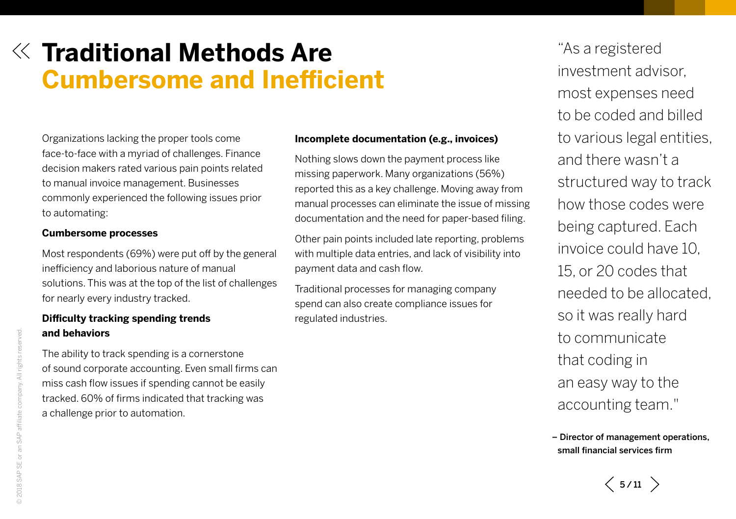# <span id="page-4-0"></span>**Traditional Methods Are Cumbersome and Inefficient**

Organizations lacking the proper tools come face-to-face with a myriad of challenges. Finance decision makers rated various pain points related to manual invoice management. Businesses commonly experienced the following issues prior to automating:

### **Cumbersome processes**

Most respondents (69%) were put off by the general inefficiency and laborious nature of manual solutions. This was at the top of the list of challenges for nearly every industry tracked.

### **Difficulty tracking spending trends and behaviors**

The ability to track spending is a cornerstone of sound corporate accounting. Even small firms can miss cash flow issues if spending cannot be easily tracked. 60% of firms indicated that tracking was a challenge prior to automation.

#### **Incomplete documentation (e.g., invoices)**

Nothing slows down the payment process like missing paperwork. Many organizations (56%) reported this as a key challenge. Moving away from manual processes can eliminate the issue of missing documentation and the need for paper-based filing.

Other pain points included late reporting, problems with multiple data entries, and lack of visibility into payment data and cash flow.

Traditional processes for managing company spend can also create compliance issues for regulated industries.

"As a registered investment advisor, most expenses need to be coded and billed to various legal entities, and there wasn't a structured way to track how those codes were being captured. Each invoice could have 10, 15, or 20 codes that needed to be allocated, so it was really hard to communicate that coding in an easy way to the accounting team."

– Director of management operations, small financial services firm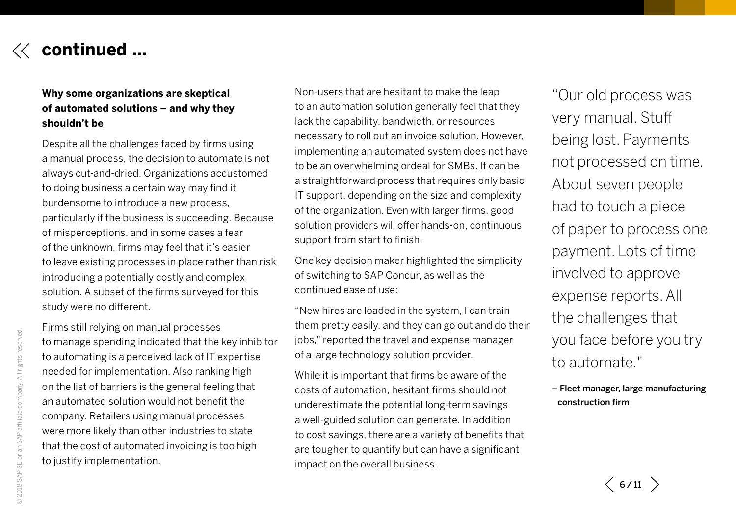

## **Why some organizations are skeptical of automated solutions – and why they shouldn't be**

Despite all the challenges faced by firms using a manual process, the decision to automate is not always cut-and-dried. Organizations accustomed to doing business a certain way may find it burdensome to introduce a new process, particularly if the business is succeeding. Because of misperceptions, and in some cases a fear of the unknown, firms may feel that it's easier to leave existing processes in place rather than risk introducing a potentially costly and complex solution. A subset of the firms surveyed for this study were no different.

Firms still relying on manual processes to manage spending indicated that the key inhibitor to automating is a perceived lack of IT expertise needed for implementation. Also ranking high on the list of barriers is the general feeling that an automated solution would not benefit the company. Retailers using manual processes were more likely than other industries to state that the cost of automated invoicing is too high to justify implementation.

Non-users that are hesitant to make the leap to an automation solution generally feel that they lack the capability, bandwidth, or resources necessary to roll out an invoice solution. However, implementing an automated system does not have to be an overwhelming ordeal for SMBs. It can be a straightforward process that requires only basic IT support, depending on the size and complexity of the organization. Even with larger firms, good solution providers will offer hands-on, continuous support from start to finish.

One key decision maker highlighted the simplicity of switching to SAP Concur, as well as the continued ease of use:

"New hires are loaded in the system, I can train them pretty easily, and they can go out and do their jobs," reported the travel and expense manager of a large technology solution provider.

While it is important that firms be aware of the costs of automation, hesitant firms should not underestimate the potential long-term savings a well-guided solution can generate. In addition to cost savings, there are a variety of benefits that are tougher to quantify but can have a significant impact on the overall business.

"Our old process was very manual. Stuff being lost. Payments not processed on time. About seven people had to touch a piece of paper to process one payment. Lots of time involved to approve expense reports. All the challenges that you face before you try to automate."

– Fleet manager, large manufacturing construction firm

© 2018 SAP SE or an SAP affiliate company. All rights reserved.

an SAP

2018 SAP SE or

company. All rights re

served.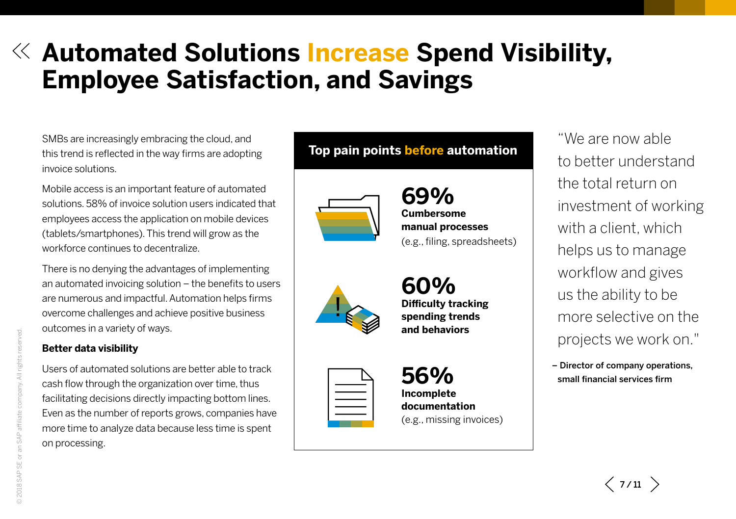# <span id="page-6-0"></span>**Automated Solutions Increase Spend Visibility, Employee Satisfaction, and Savings**

SMBs are increasingly embracing the cloud, and this trend is reflected in the way firms are adopting invoice solutions.

Mobile access is an important feature of automated solutions. 58% of invoice solution users indicated that employees access the application on mobile devices (tablets/smartphones). This trend will grow as the workforce continues to decentralize.

There is no denying the advantages of implementing an automated invoicing solution – the benefits to users are numerous and impactful. Automation helps firms overcome challenges and achieve positive business outcomes in a variety of ways.

## **Better data visibility**

Users of automated solutions are better able to track cash flow through the organization over time, thus facilitating decisions directly impacting bottom lines. Even as the number of reports grows, companies have more time to analyze data because less time is spent on processing.

# **Top pain points before automation**



**69% Cumbersome manual processes**  (e.g., filing, spreadsheets)



**Difficulty tracking** 



**60% spending trends and behaviors**

**56% Incomplete documentation**  (e.g., missing invoices)

"We are now able to better understand the total return on investment of working with a client, which helps us to manage workflow and gives us the ability to be more selective on the projects we work on."

– Director of company operations, small financial services firm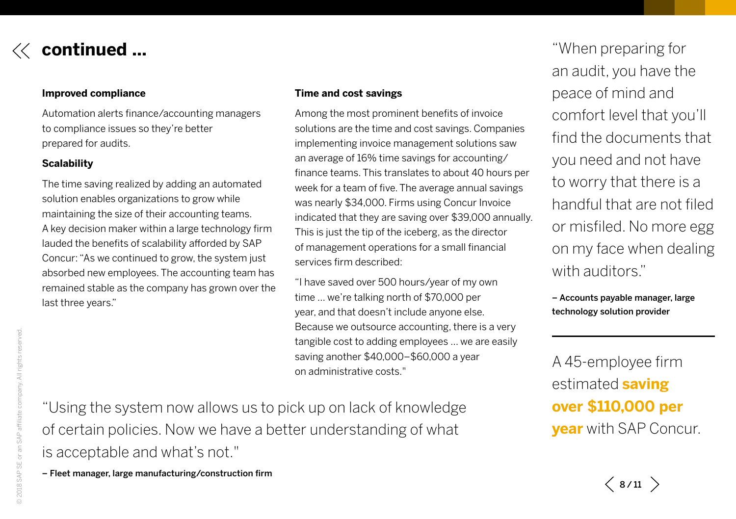

# **continued ...**

### **Improved compliance**

Automation alerts finance/accounting managers to compliance issues so they're better prepared for audits.

## **Scalability**

The time saving realized by adding an automated solution enables organizations to grow while maintaining the size of their accounting teams. A key decision maker within a large technology firm lauded the benefits of scalability afforded by SAP Concur: "As we continued to grow, the system just absorbed new employees. The accounting team has remained stable as the company has grown over the last three years."

### **Time and cost savings**

Among the most prominent benefits of invoice solutions are the time and cost savings. Companies implementing invoice management solutions saw an average of 16% time savings for accounting/ finance teams. This translates to about 40 hours per week for a team of five. The average annual savings was nearly \$34,000. Firms using Concur Invoice indicated that they are saving over \$39,000 annually. This is just the tip of the iceberg, as the director of management operations for a small financial services firm described:

"I have saved over 500 hours/year of my own time … we're talking north of \$70,000 per year, and that doesn't include anyone else. Because we outsource accounting, there is a very tangible cost to adding employees … we are easily saving another \$40,000–\$60,000 a year on administrative costs."

"When preparing for an audit, you have the peace of mind and comfort level that you'll find the documents that you need and not have to worry that there is a handful that are not filed or misfiled. No more egg on my face when dealing with auditors."

– Accounts payable manager, large technology solution provider

A 45-employee firm estimated **saving over \$110,000 per year** with SAP Concur.

"Using the system now allows us to pick up on lack of knowledge of certain policies. Now we have a better understanding of what is acceptable and what's not."

– Fleet manager, large manufacturing/construction firm

 $\langle 8/11 \rangle$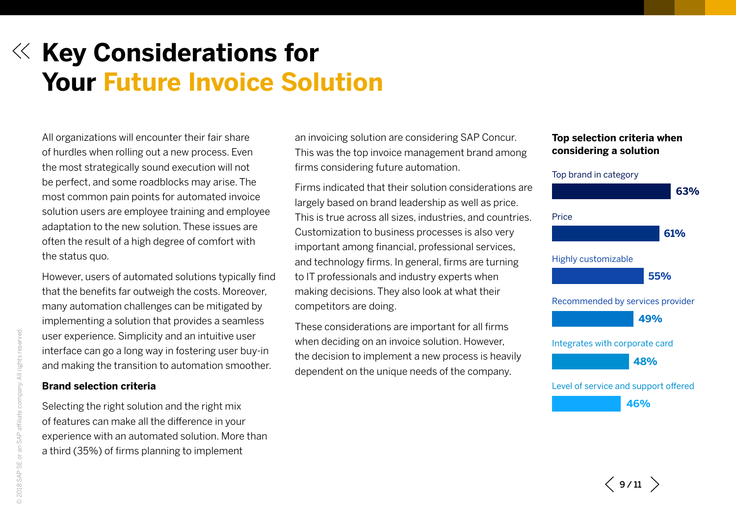# <span id="page-8-0"></span>**Key Considerations for Your Future Invoice Solution**

All organizations will encounter their fair share of hurdles when rolling out a new process. Even the most strategically sound execution will not be perfect, and some roadblocks may arise. The most common pain points for automated invoice solution users are employee training and employee adaptation to the new solution. These issues are often the result of a high degree of comfort with the status quo.

However, users of automated solutions typically find that the benefits far outweigh the costs. Moreover, many automation challenges can be mitigated by implementing a solution that provides a seamless user experience. Simplicity and an intuitive user interface can go a long way in fostering user buy-in and making the transition to automation smoother.

### **Brand selection criteria**

Selecting the right solution and the right mix of features can make all the difference in your experience with an automated solution. More than a third (35%) of firms planning to implement

an invoicing solution are considering SAP Concur. This was the top invoice management brand among firms considering future automation.

Firms indicated that their solution considerations are largely based on brand leadership as well as price. This is true across all sizes, industries, and countries. Customization to business processes is also very important among financial, professional services, and technology firms. In general, firms are turning to IT professionals and industry experts when making decisions. They also look at what their competitors are doing.

These considerations are important for all firms when deciding on an invoice solution. However, the decision to implement a new process is heavily dependent on the unique needs of the company.

### **Top selection criteria when considering a solution**



 $\langle$  9/11  $\rangle$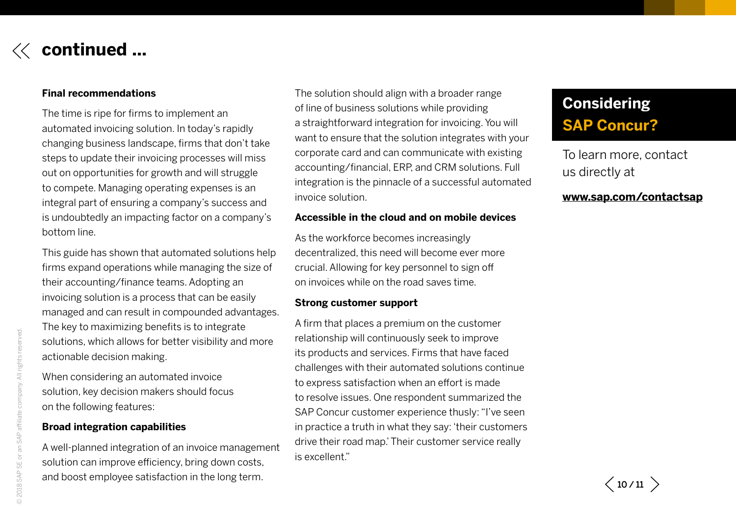

# **continued ...**

### **Final recommendations**

The time is ripe for firms to implement an automated invoicing solution. In today's rapidly changing business landscape, firms that don't take steps to update their invoicing processes will miss out on opportunities for growth and will struggle to compete. Managing operating expenses is an integral part of ensuring a company's success and is undoubtedly an impacting factor on a company's bottom line.

This guide has shown that automated solutions help firms expand operations while managing the size of their accounting/finance teams. Adopting an invoicing solution is a process that can be easily managed and can result in compounded advantages. The key to maximizing benefits is to integrate solutions, which allows for better visibility and more actionable decision making.

When considering an automated invoice solution, key decision makers should focus on the following features:

#### **Broad integration capabilities**

A well-planned integration of an invoice management solution can improve efficiency, bring down costs, and boost employee satisfaction in the long term.

The solution should align with a broader range of line of business solutions while providing a straightforward integration for invoicing. You will want to ensure that the solution integrates with your corporate card and can communicate with existing accounting/financial, ERP, and CRM solutions. Full integration is the pinnacle of a successful automated invoice solution.

#### **Accessible in the cloud and on mobile devices**

As the workforce becomes increasingly decentralized, this need will become ever more crucial. Allowing for key personnel to sign off on invoices while on the road saves time.

### **Strong customer support**

A firm that places a premium on the customer relationship will continuously seek to improve its products and services. Firms that have faced challenges with their automated solutions continue to express satisfaction when an effort is made to resolve issues. One respondent summarized the SAP Concur customer experience thusly: "I've seen in practice a truth in what they say: 'their customers drive their road map.' Their customer service really is excellent."

# **Considering SAP Concur?**

To learn more, contact us directly at

**[www.sap.com/contactsap](http://www.sap.com/contactsap)**

 $\langle 10/11 \rangle$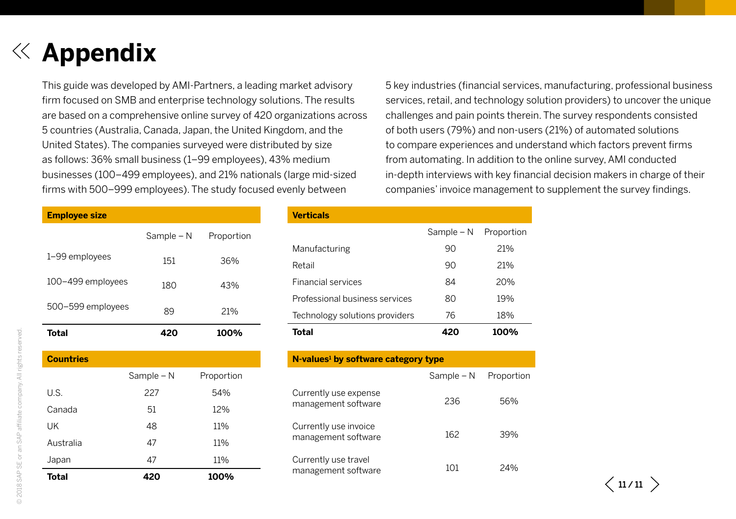# <span id="page-10-0"></span>**Appendix**

This guide was developed by AMI-Partners, a leading market advisory firm focused on SMB and enterprise technology solutions. The results are based on a comprehensive online survey of 420 organizations across 5 countries (Australia, Canada, Japan, the United Kingdom, and the United States). The companies surveyed were distributed by size as follows: 36% small business (1–99 employees), 43% medium businesses (100–499 employees), and 21% nationals (large mid-sized firms with 500–999 employees). The study focused evenly between

5 key industries (financial services, manufacturing, professional business services, retail, and technology solution providers) to uncover the unique challenges and pain points therein. The survey respondents consisted of both users (79%) and non-users (21%) of automated solutions to compare experiences and understand which factors prevent firms from automating. In addition to the online survey, AMI conducted in-depth interviews with key financial decision makers in charge of their companies' invoice management to supplement the survey findings.

| <b>Employee size</b> |            |            |
|----------------------|------------|------------|
|                      | Sample - N | Proportion |
| 1-99 employees       | 151        | 36%        |
| 100-499 employees    | 180        | 43%        |
| 500-599 employees    | 89         | 21%        |
| Total                |            | 100%       |

| <b>Countries</b> |            |            |
|------------------|------------|------------|
|                  | Sample - N | Proportion |
| U.S.             | 227        | 54%        |
| Canada           | 51         | 12%        |
| UK               | 48         | 11%        |
| Australia        | 47         | 11%        |
| Japan            | 47         | 11%        |
| Total            | 420        | 100%       |

| <b>Verticals</b> |  |  |  |  |
|------------------|--|--|--|--|
|                  |  |  |  |  |
|                  |  |  |  |  |
|                  |  |  |  |  |

|                                | Sample $- N$ | Proportion |
|--------------------------------|--------------|------------|
| Manufacturing                  | 90           | 21%        |
| Retail                         | 90           | 21%        |
| <b>Financial services</b>      | 84           | 20%        |
| Professional business services | 80           | 19%        |
| Technology solutions providers | 76           | 18%        |
| Total                          | 420          | 100%       |

#### **N-values1 by software category type**

|                                              | Sample - N | Proportion |
|----------------------------------------------|------------|------------|
| Currently use expense<br>management software | 236        | 56%        |
| Currently use invoice<br>management software | 162        | 39%        |
| Currently use travel<br>management software  | 101        | 24%        |